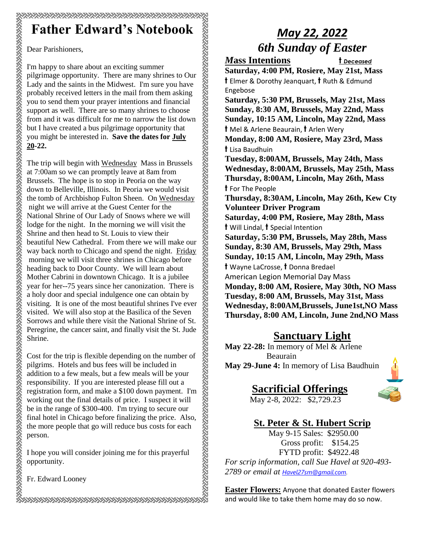## **Father Edward's Notebook**

Dear Parishioners,

I'm happy to share about an exciting summer pilgrimage opportunity. There are many shrines to Our Lady and the saints in the Midwest. I'm sure you have probably received letters in the mail from them asking you to send them your prayer intentions and financial support as well. There are so many shrines to choose from and it was difficult for me to narrow the list down but I have created a bus pilgrimage opportunity that you might be interested in. **Save the dates for [July](https://webmail.centurylink.net/modern/calendar/day/1658323015133)  [20-](https://webmail.centurylink.net/modern/calendar/day/1658323015133)22.** 

The trip will begin with [Wednesday](https://webmail.centurylink.net/modern/calendar/day/1653484615139) Mass in Brussels at 7:00am so we can promptly leave at 8am from Brussels. The hope is to stop in Peoria on the way down to Belleville, Illinois. In Peoria we would visit the tomb of Archbishop Fulton Sheen. On [Wednesday](https://webmail.centurylink.net/modern/calendar/day/1653484615141) night we will arrive at the Guest Center for the National Shrine of Our Lady of Snows where we will lodge for the night. In the morning we will visit the Shrine and then head to St. Louis to view their beautiful New Cathedral. From there we will make our way back north to Chicago and spend the night. [Friday](https://webmail.centurylink.net/modern/calendar/day/1653052615142) morning we will visit three shrines in Chicago before heading back to Door County. We will learn about Mother Cabrini in downtown Chicago. It is a jubilee year for her--75 years since her canonization. There is a holy door and special indulgence one can obtain by visiting. It is one of the most beautiful shrines I've ever visited. We will also stop at the Basilica of the Seven Sorrows and while there visit the National Shrine of St. Peregrine, the cancer saint, and finally visit the St. Jude Shrine.

Cost for the trip is flexible depending on the number of pilgrims. Hotels and bus fees will be included in addition to a few meals, but a few meals will be your responsibility. If you are interested please fill out a registration form, and make a \$100 down payment. I'm working out the final details of price. I suspect it will be in the range of \$300-400. I'm trying to secure our final hotel in Chicago before finalizing the price. Also, the more people that go will reduce bus costs for each person.

I hope you will consider joining me for this prayerful opportunity.

Fr. Edward Looney

*6th Sunday of Easter M***ass Intentions t** *Deceased* **Saturday, 4:00 PM, Rosiere, May 21st, Mass t** Elmer & Dorothy Jeanquart, **t** Ruth & Edmund Engebose **Saturday, 5:30 PM, Brussels, May 21st, Mass Sunday, 8:30 AM, Brussels, May 22nd, Mass Sunday, 10:15 AM, Lincoln, May 22nd, Mass t** Mel & Arlene Beaurain, **t** Arlen Wery **Monday, 8:00 AM, Rosiere, May 23rd, Mass t** Lisa Baudhuin **Tuesday, 8:00AM, Brussels, May 24th, Mass Wednesday, 8:00AM, Brussels, May 25th, Mass Thursday, 8:00AM, Lincoln, May 26th, Mass t** For The People **Thursday, 8:30AM, Lincoln, May 26th, Kew Cty Volunteer Driver Program Saturday, 4:00 PM, Rosiere, May 28th, Mass t** Will Lindal, **t** Special Intention **Saturday, 5:30 PM, Brussels, May 28th, Mass Sunday, 8:30 AM, Brussels, May 29th, Mass Sunday, 10:15 AM, Lincoln, May 29th, Mass t** Wayne LaCrosse, **t** Donna Bredael American Legion Memorial Day Mass **Monday, 8:00 AM, Rosiere, May 30th, NO Mass Tuesday, 8:00 AM, Brussels, May 31st, Mass Wednesday, 8:00AM,Brussels, June1st,NO Mass Thursday, 8:00 AM, Lincoln, June 2nd,NO Mass**

*May 22, 2022*

### **Sanctuary Light**

**May 22-28:** In memory of Mel & Arlene Beaurain **May 29-June 4:** In memory of Lisa Baudhuin

### **Sacrificial Offerings**

May 2-8, 2022: \$2,729.23

### **St. Peter & St. Hubert Scrip**

 May 9-15 Sales: \$2950.00 Gross profit: \$154.25 FYTD profit: \$4922.48 *For scrip information, call Sue Havel at 920-493- 2789 or email at [Havel27sm@gmail.com.](mailto:Havel27sm@gmail.com)*

**Easter Flowers:** Anyone that donated Easter flowers and would like to take them home may do so now.